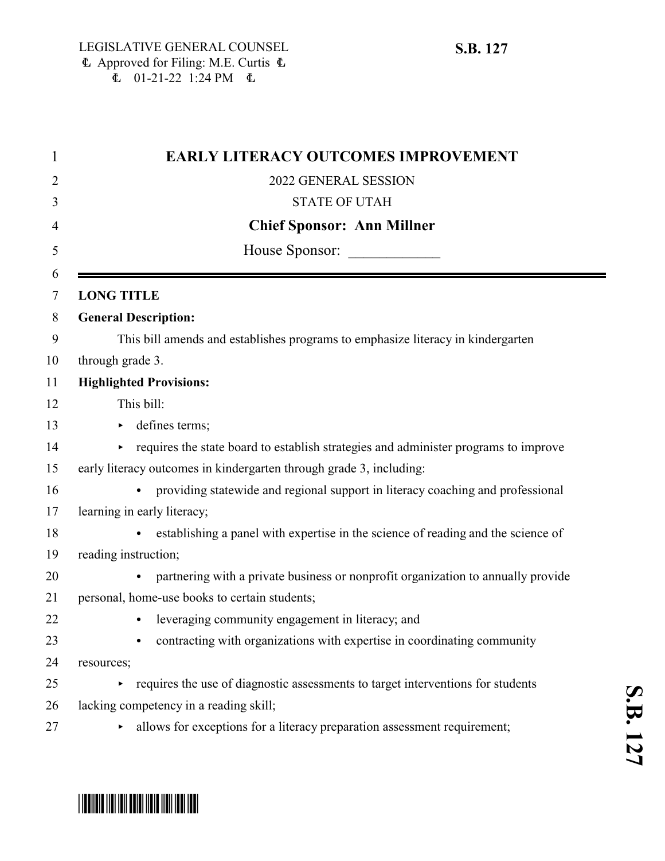| <b>EARLY LITERACY OUTCOMES IMPROVEMENT</b>                                                  |
|---------------------------------------------------------------------------------------------|
| 2022 GENERAL SESSION                                                                        |
| <b>STATE OF UTAH</b>                                                                        |
| <b>Chief Sponsor: Ann Millner</b>                                                           |
| House Sponsor:                                                                              |
|                                                                                             |
| <b>LONG TITLE</b>                                                                           |
| <b>General Description:</b>                                                                 |
| This bill amends and establishes programs to emphasize literacy in kindergarten             |
| through grade 3.                                                                            |
| <b>Highlighted Provisions:</b>                                                              |
| This bill:                                                                                  |
| defines terms;<br>▶.                                                                        |
| requires the state board to establish strategies and administer programs to improve<br>▶.   |
| early literacy outcomes in kindergarten through grade 3, including:                         |
| providing statewide and regional support in literacy coaching and professional<br>$\bullet$ |
| learning in early literacy;                                                                 |
| establishing a panel with expertise in the science of reading and the science of            |
| reading instruction;                                                                        |
| partnering with a private business or nonprofit organization to annually provide            |
| personal, home-use books to certain students;                                               |
| leveraging community engagement in literacy; and                                            |
| contracting with organizations with expertise in coordinating community                     |
| resources;                                                                                  |
| requires the use of diagnostic assessments to target interventions for students             |
| lacking competency in a reading skill;                                                      |
| allows for exceptions for a literacy preparation assessment requirement;                    |

# \*SB0127\*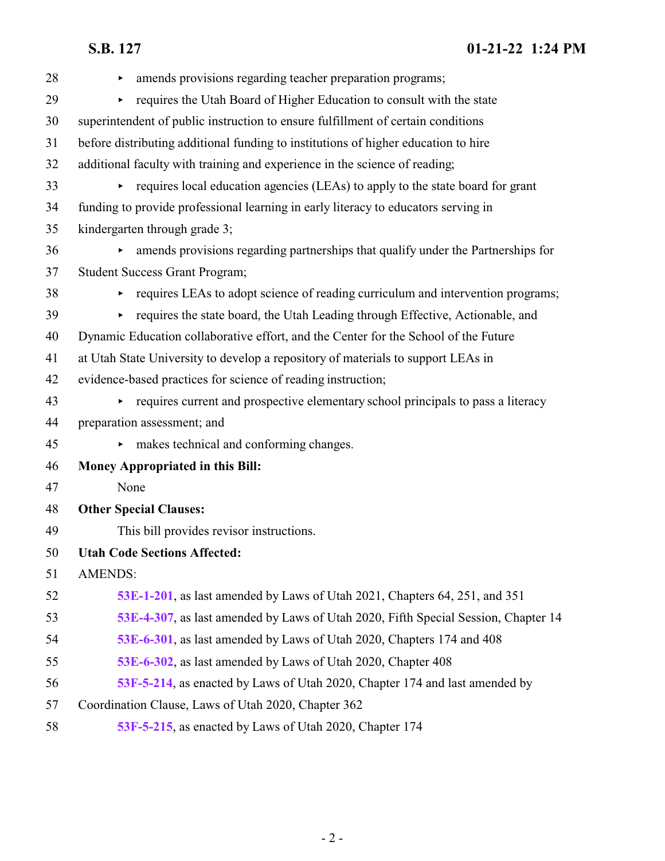| 28 | amends provisions regarding teacher preparation programs;                           |
|----|-------------------------------------------------------------------------------------|
| 29 | requires the Utah Board of Higher Education to consult with the state               |
| 30 | superintendent of public instruction to ensure fulfillment of certain conditions    |
| 31 | before distributing additional funding to institutions of higher education to hire  |
| 32 | additional faculty with training and experience in the science of reading;          |
| 33 | requires local education agencies (LEAs) to apply to the state board for grant      |
| 34 | funding to provide professional learning in early literacy to educators serving in  |
| 35 | kindergarten through grade 3;                                                       |
| 36 | amends provisions regarding partnerships that qualify under the Partnerships for    |
| 37 | <b>Student Success Grant Program;</b>                                               |
| 38 | requires LEAs to adopt science of reading curriculum and intervention programs;     |
| 39 | requires the state board, the Utah Leading through Effective, Actionable, and       |
| 40 | Dynamic Education collaborative effort, and the Center for the School of the Future |
| 41 | at Utah State University to develop a repository of materials to support LEAs in    |
| 42 | evidence-based practices for science of reading instruction;                        |
| 43 | requires current and prospective elementary school principals to pass a literacy    |
| 44 | preparation assessment; and                                                         |
| 45 | makes technical and conforming changes.                                             |
| 46 | <b>Money Appropriated in this Bill:</b>                                             |
| 47 | None                                                                                |
| 48 | <b>Other Special Clauses:</b>                                                       |
| 49 | This bill provides revisor instructions.                                            |
| 50 | <b>Utah Code Sections Affected:</b>                                                 |
| 51 | <b>AMENDS:</b>                                                                      |
| 52 | 53E-1-201, as last amended by Laws of Utah 2021, Chapters 64, 251, and 351          |
| 53 | 53E-4-307, as last amended by Laws of Utah 2020, Fifth Special Session, Chapter 14  |
| 54 | 53E-6-301, as last amended by Laws of Utah 2020, Chapters 174 and 408               |
| 55 | 53E-6-302, as last amended by Laws of Utah 2020, Chapter 408                        |
| 56 | 53F-5-214, as enacted by Laws of Utah 2020, Chapter 174 and last amended by         |
| 57 | Coordination Clause, Laws of Utah 2020, Chapter 362                                 |
| 58 | 53F-5-215, as enacted by Laws of Utah 2020, Chapter 174                             |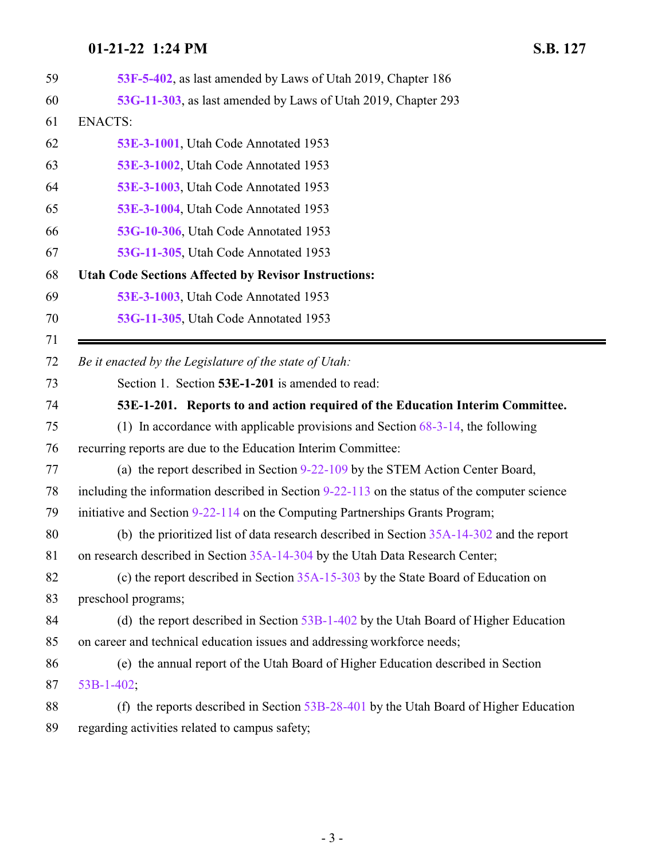<span id="page-2-0"></span>

| 59 | 53F-5-402, as last amended by Laws of Utah 2019, Chapter 186                                    |
|----|-------------------------------------------------------------------------------------------------|
| 60 | 53G-11-303, as last amended by Laws of Utah 2019, Chapter 293                                   |
| 61 | <b>ENACTS:</b>                                                                                  |
| 62 | 53E-3-1001, Utah Code Annotated 1953                                                            |
| 63 | 53E-3-1002, Utah Code Annotated 1953                                                            |
| 64 | 53E-3-1003, Utah Code Annotated 1953                                                            |
| 65 | 53E-3-1004, Utah Code Annotated 1953                                                            |
| 66 | 53G-10-306, Utah Code Annotated 1953                                                            |
| 67 | 53G-11-305, Utah Code Annotated 1953                                                            |
| 68 | <b>Utah Code Sections Affected by Revisor Instructions:</b>                                     |
| 69 | 53E-3-1003, Utah Code Annotated 1953                                                            |
| 70 | 53G-11-305, Utah Code Annotated 1953                                                            |
| 71 |                                                                                                 |
| 72 | Be it enacted by the Legislature of the state of Utah:                                          |
| 73 | Section 1. Section 53E-1-201 is amended to read:                                                |
| 74 | 53E-1-201. Reports to and action required of the Education Interim Committee.                   |
| 75 | (1) In accordance with applicable provisions and Section $68-3-14$ , the following              |
| 76 | recurring reports are due to the Education Interim Committee:                                   |
| 77 | (a) the report described in Section 9-22-109 by the STEM Action Center Board,                   |
| 78 | including the information described in Section $9-22-113$ on the status of the computer science |
| 79 | initiative and Section 9-22-114 on the Computing Partnerships Grants Program;                   |
| 80 | (b) the prioritized list of data research described in Section $35A-14-302$ and the report      |
| 81 | on research described in Section 35A-14-304 by the Utah Data Research Center;                   |
| 82 | (c) the report described in Section $35A-15-303$ by the State Board of Education on             |
| 83 | preschool programs;                                                                             |
| 84 | (d) the report described in Section $53B-1-402$ by the Utah Board of Higher Education           |
| 85 | on career and technical education issues and addressing workforce needs;                        |
| 86 | (e) the annual report of the Utah Board of Higher Education described in Section                |
| 87 | $53B-1-402$ ;                                                                                   |
| 88 | (f) the reports described in Section $53B-28-401$ by the Utah Board of Higher Education         |
| 89 | regarding activities related to campus safety;                                                  |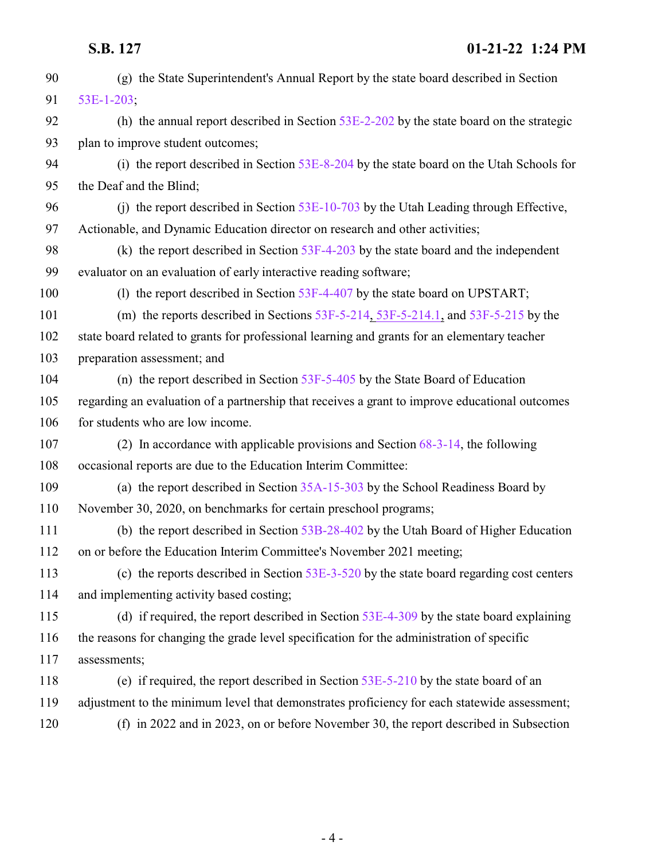(g) the State Superintendent's Annual Report by the state board described in Section [53E-1-203](http://le.utah.gov/UtahCode/SectionLookup.jsp?section=53e-1-203&session=2022GS); (h) the annual report described in Section [53E-2-202](http://le.utah.gov/UtahCode/SectionLookup.jsp?section=53e-2-202&session=2022GS) by the state board on the strategic 93 plan to improve student outcomes; (i) the report described in Section [53E-8-204](http://le.utah.gov/UtahCode/SectionLookup.jsp?section=53e-8-204&session=2022GS) by the state board on the Utah Schools for the Deaf and the Blind; (j) the report described in Section [53E-10-703](http://le.utah.gov/UtahCode/SectionLookup.jsp?section=53e-10-703&session=2022GS) by the Utah Leading through Effective, Actionable, and Dynamic Education director on research and other activities; (k) the report described in Section [53F-4-203](http://le.utah.gov/UtahCode/SectionLookup.jsp?section=53f-4-203&session=2022GS) by the state board and the independent evaluator on an evaluation of early interactive reading software; 100 (l) the report described in Section [53F-4-407](http://le.utah.gov/UtahCode/SectionLookup.jsp?section=53f-4-407&session=2022GS) by the state board on UPSTART; (m) the reports described in Sections [53F-5-214](#page-12-0), [53F-5-214.1](http://le.utah.gov/UtahCode/SectionLookup.jsp?section=53f-5-214.1&session=2022GS), and [53F-5-215](#page-14-0) by the state board related to grants for professional learning and grants for an elementary teacher preparation assessment; and (n) the report described in Section [53F-5-405](http://le.utah.gov/UtahCode/SectionLookup.jsp?section=53f-5-405&session=2022GS) by the State Board of Education regarding an evaluation of a partnership that receives a grant to improve educational outcomes 106 for students who are low income. (2) In accordance with applicable provisions and Section [68-3-14](http://le.utah.gov/UtahCode/SectionLookup.jsp?section=68-3-14&session=2022GS), the following occasional reports are due to the Education Interim Committee: (a) the report described in Section [35A-15-303](http://le.utah.gov/UtahCode/SectionLookup.jsp?section=35a-15-303&session=2022GS) by the School Readiness Board by November 30, 2020, on benchmarks for certain preschool programs; (b) the report described in Section [53B-28-402](http://le.utah.gov/UtahCode/SectionLookup.jsp?section=53b-28-402&session=2022GS) by the Utah Board of Higher Education on or before the Education Interim Committee's November 2021 meeting; (c) the reports described in Section [53E-3-520](http://le.utah.gov/UtahCode/SectionLookup.jsp?section=53e-3-520&session=2022GS) by the state board regarding cost centers and implementing activity based costing; (d) if required, the report described in Section [53E-4-309](http://le.utah.gov/UtahCode/SectionLookup.jsp?section=53e-4-309&session=2022GS) by the state board explaining the reasons for changing the grade level specification for the administration of specific assessments; (e) if required, the report described in Section [53E-5-210](http://le.utah.gov/UtahCode/SectionLookup.jsp?section=53e-5-210&session=2022GS) by the state board of an adjustment to the minimum level that demonstrates proficiency for each statewide assessment; (f) in 2022 and in 2023, on or before November 30, the report described in Subsection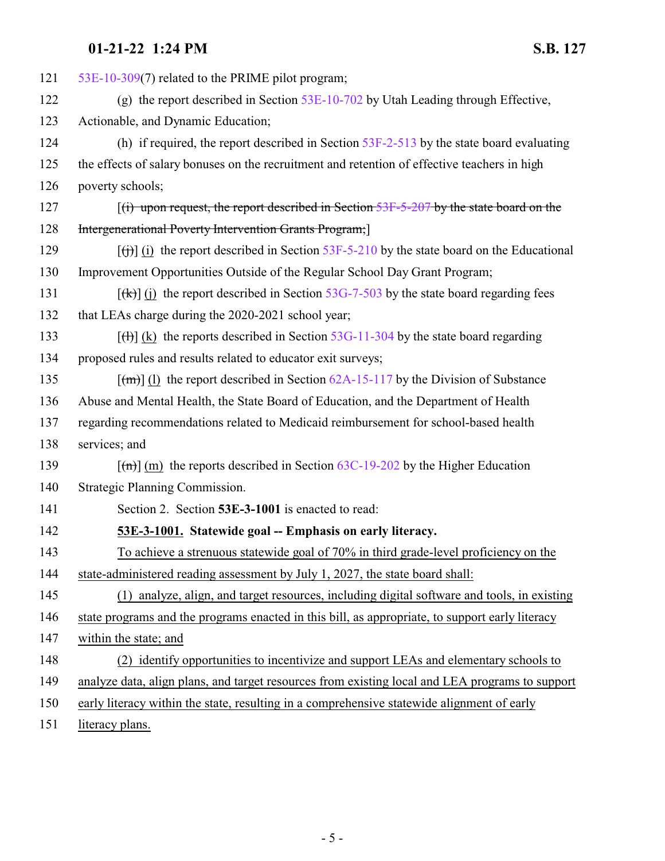| 121 | 53E-10-309(7) related to the PRIME pilot program;                                                                    |
|-----|----------------------------------------------------------------------------------------------------------------------|
| 122 | (g) the report described in Section $53E-10-702$ by Utah Leading through Effective,                                  |
| 123 | Actionable, and Dynamic Education;                                                                                   |
| 124 | (h) if required, the report described in Section $53F-2-513$ by the state board evaluating                           |
| 125 | the effects of salary bonuses on the recruitment and retention of effective teachers in high                         |
| 126 | poverty schools;                                                                                                     |
| 127 | $f(t)$ upon request, the report described in Section 53F-5-207 by the state board on the                             |
| 128 | <b>Intergenerational Poverty Intervention Grants Program;</b>                                                        |
| 129 | $\left[\frac{f(t)}{g(t)}\right]$ (i) the report described in Section 53F-5-210 by the state board on the Educational |
| 130 | Improvement Opportunities Outside of the Regular School Day Grant Program;                                           |
| 131 | $[\frac{f(k)}{f(k)}]$ (i) the report described in Section 53G-7-503 by the state board regarding fees                |
| 132 | that LEAs charge during the 2020-2021 school year;                                                                   |
| 133 | $[\text{H}](k)$ the reports described in Section 53G-11-304 by the state board regarding                             |
| 134 | proposed rules and results related to educator exit surveys;                                                         |
| 135 | $\lceil$ (m) (1) the report described in Section 62A-15-117 by the Division of Substance                             |
| 136 | Abuse and Mental Health, the State Board of Education, and the Department of Health                                  |
| 137 | regarding recommendations related to Medicaid reimbursement for school-based health                                  |
| 138 | services; and                                                                                                        |
| 139 | $\lceil$ (m) (m) the reports described in Section 63C-19-202 by the Higher Education                                 |
| 140 | Strategic Planning Commission.                                                                                       |
| 141 | Section 2. Section 53E-3-1001 is enacted to read:                                                                    |
| 142 | 53E-3-1001. Statewide goal -- Emphasis on early literacy.                                                            |
| 143 | To achieve a strenuous statewide goal of 70% in third grade-level proficiency on the                                 |
| 144 | state-administered reading assessment by July 1, 2027, the state board shall:                                        |
| 145 | (1) analyze, align, and target resources, including digital software and tools, in existing                          |
| 146 | state programs and the programs enacted in this bill, as appropriate, to support early literacy                      |
| 147 | within the state; and                                                                                                |
| 148 | (2) identify opportunities to incentivize and support LEAs and elementary schools to                                 |
| 149 | analyze data, align plans, and target resources from existing local and LEA programs to support                      |
| 150 | early literacy within the state, resulting in a comprehensive statewide alignment of early                           |
|     |                                                                                                                      |

<span id="page-4-0"></span>151 literacy plans.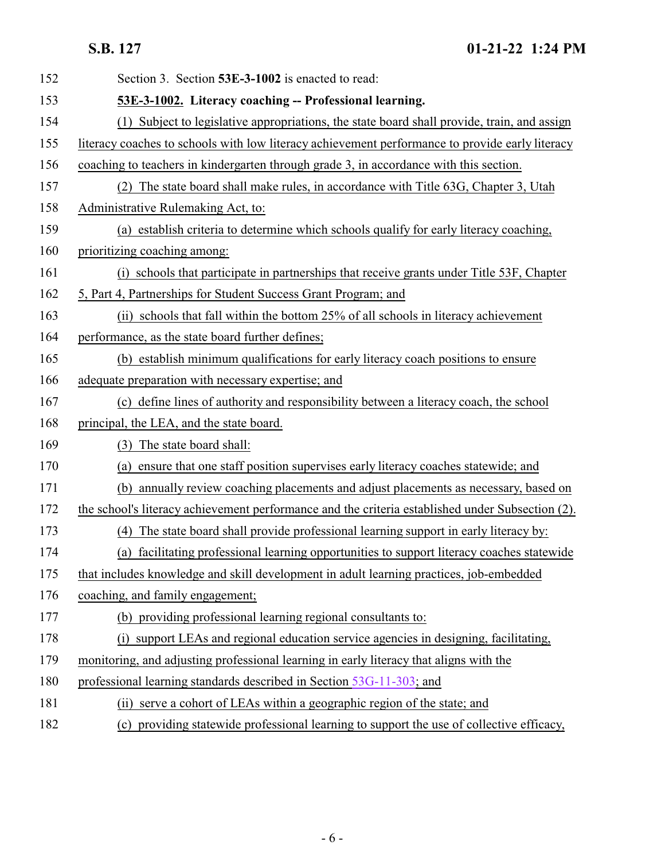<span id="page-5-0"></span>

| 152 | Section 3. Section 53E-3-1002 is enacted to read:                                                |
|-----|--------------------------------------------------------------------------------------------------|
| 153 | 53E-3-1002. Literacy coaching -- Professional learning.                                          |
| 154 | Subject to legislative appropriations, the state board shall provide, train, and assign          |
| 155 | literacy coaches to schools with low literacy achievement performance to provide early literacy  |
| 156 | coaching to teachers in kindergarten through grade 3, in accordance with this section.           |
| 157 | The state board shall make rules, in accordance with Title 63G, Chapter 3, Utah<br>(2)           |
| 158 | Administrative Rulemaking Act, to:                                                               |
| 159 | (a) establish criteria to determine which schools qualify for early literacy coaching,           |
| 160 | prioritizing coaching among:                                                                     |
| 161 | (i) schools that participate in partnerships that receive grants under Title 53F, Chapter        |
| 162 | 5, Part 4, Partnerships for Student Success Grant Program; and                                   |
| 163 | (ii) schools that fall within the bottom 25% of all schools in literacy achievement              |
| 164 | performance, as the state board further defines;                                                 |
| 165 | (b) establish minimum qualifications for early literacy coach positions to ensure                |
| 166 | adequate preparation with necessary expertise; and                                               |
| 167 | (c) define lines of authority and responsibility between a literacy coach, the school            |
| 168 | principal, the LEA, and the state board.                                                         |
| 169 | The state board shall:<br>(3)                                                                    |
| 170 | (a) ensure that one staff position supervises early literacy coaches statewide; and              |
| 171 | annually review coaching placements and adjust placements as necessary, based on<br>(b)          |
| 172 | the school's literacy achievement performance and the criteria established under Subsection (2). |
| 173 | (4) The state board shall provide professional learning support in early literacy by:            |
| 174 | (a) facilitating professional learning opportunities to support literacy coaches statewide       |
| 175 | that includes knowledge and skill development in adult learning practices, job-embedded          |
| 176 | coaching, and family engagement;                                                                 |
| 177 | (b) providing professional learning regional consultants to:                                     |
| 178 | (i) support LEAs and regional education service agencies in designing, facilitating,             |
| 179 | monitoring, and adjusting professional learning in early literacy that aligns with the           |
| 180 | professional learning standards described in Section 53G-11-303; and                             |
| 181 | (ii) serve a cohort of LEAs within a geographic region of the state; and                         |
| 182 | (c) providing statewide professional learning to support the use of collective efficacy,         |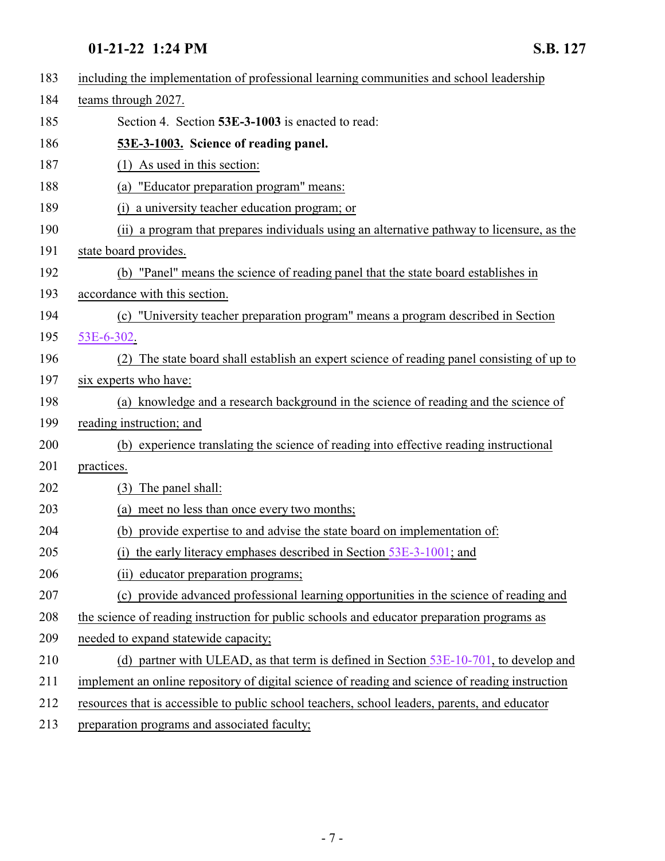<span id="page-6-0"></span>

| 183 | including the implementation of professional learning communities and school leadership         |
|-----|-------------------------------------------------------------------------------------------------|
| 184 | teams through 2027.                                                                             |
| 185 | Section 4. Section 53E-3-1003 is enacted to read:                                               |
| 186 | 53E-3-1003. Science of reading panel.                                                           |
| 187 | As used in this section:<br>(1)                                                                 |
| 188 | "Educator preparation program" means:<br>(a)                                                    |
| 189 | a university teacher education program; or                                                      |
| 190 | (ii) a program that prepares individuals using an alternative pathway to licensure, as the      |
| 191 | state board provides.                                                                           |
| 192 | (b) "Panel" means the science of reading panel that the state board establishes in              |
| 193 | accordance with this section.                                                                   |
| 194 | (c) "University teacher preparation program" means a program described in Section               |
| 195 | 53E-6-302.                                                                                      |
| 196 | The state board shall establish an expert science of reading panel consisting of up to          |
| 197 | six experts who have:                                                                           |
| 198 | (a) knowledge and a research background in the science of reading and the science of            |
| 199 | reading instruction; and                                                                        |
| 200 | (b) experience translating the science of reading into effective reading instructional          |
| 201 | practices.                                                                                      |
| 202 | The panel shall:<br>(3)                                                                         |
| 203 | (a) meet no less than once every two months;                                                    |
| 204 | (b) provide expertise to and advise the state board on implementation of:                       |
| 205 | (i) the early literacy emphases described in Section 53E-3-1001; and                            |
| 206 | (ii) educator preparation programs;                                                             |
| 207 | (c) provide advanced professional learning opportunities in the science of reading and          |
| 208 | the science of reading instruction for public schools and educator preparation programs as      |
| 209 | needed to expand statewide capacity;                                                            |
| 210 | (d) partner with ULEAD, as that term is defined in Section $53E-10-701$ , to develop and        |
| 211 | implement an online repository of digital science of reading and science of reading instruction |
| 212 | resources that is accessible to public school teachers, school leaders, parents, and educator   |
| 213 | preparation programs and associated faculty;                                                    |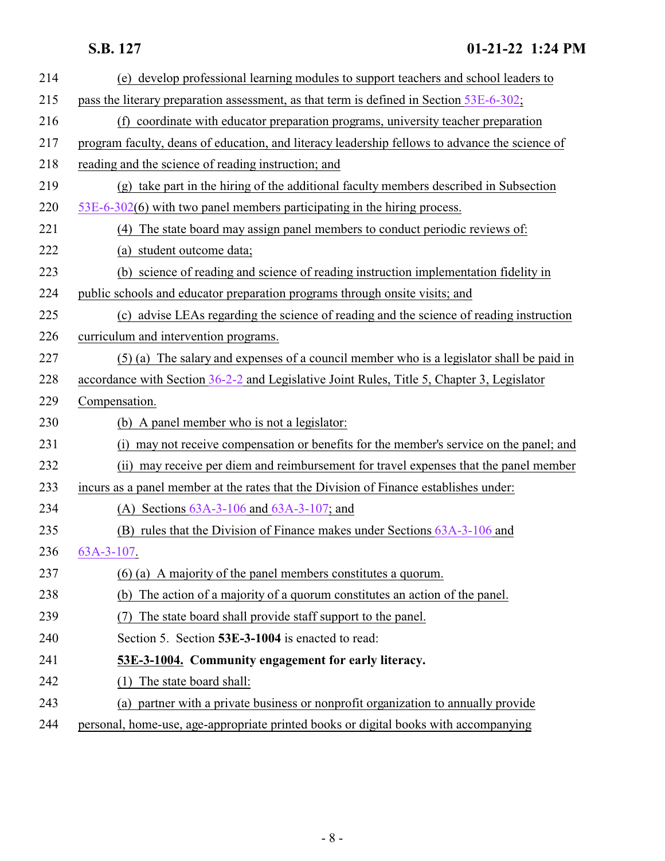<span id="page-7-0"></span>

| 214 | (e) develop professional learning modules to support teachers and school leaders to            |
|-----|------------------------------------------------------------------------------------------------|
| 215 | pass the literary preparation assessment, as that term is defined in Section 53E-6-302;        |
| 216 | (f) coordinate with educator preparation programs, university teacher preparation              |
| 217 | program faculty, deans of education, and literacy leadership fellows to advance the science of |
| 218 | reading and the science of reading instruction; and                                            |
| 219 | (g) take part in the hiring of the additional faculty members described in Subsection          |
| 220 | $53E-6-302(6)$ with two panel members participating in the hiring process.                     |
| 221 | (4) The state board may assign panel members to conduct periodic reviews of:                   |
| 222 | (a) student outcome data;                                                                      |
| 223 | (b) science of reading and science of reading instruction implementation fidelity in           |
| 224 | public schools and educator preparation programs through onsite visits; and                    |
| 225 | (c) advise LEAs regarding the science of reading and the science of reading instruction        |
| 226 | curriculum and intervention programs.                                                          |
| 227 | (5) (a) The salary and expenses of a council member who is a legislator shall be paid in       |
| 228 | accordance with Section 36-2-2 and Legislative Joint Rules, Title 5, Chapter 3, Legislator     |
| 229 | Compensation.                                                                                  |
| 230 | (b) A panel member who is not a legislator:                                                    |
| 231 | (i) may not receive compensation or benefits for the member's service on the panel; and        |
| 232 | (ii) may receive per diem and reimbursement for travel expenses that the panel member          |
| 233 | incurs as a panel member at the rates that the Division of Finance establishes under:          |
| 234 | (A) Sections $63A-3-106$ and $63A-3-107$ ; and                                                 |
| 235 | (B) rules that the Division of Finance makes under Sections 63A-3-106 and                      |
| 236 | 63A-3-107.                                                                                     |
| 237 | (6) (a) A majority of the panel members constitutes a quorum.                                  |
| 238 | The action of a majority of a quorum constitutes an action of the panel.<br>(b)                |
| 239 | The state board shall provide staff support to the panel.                                      |
| 240 | Section 5. Section 53E-3-1004 is enacted to read:                                              |
| 241 | 53E-3-1004. Community engagement for early literacy.                                           |
| 242 | The state board shall:<br>(1)                                                                  |
| 243 | (a) partner with a private business or nonprofit organization to annually provide              |
| 244 | personal, home-use, age-appropriate printed books or digital books with accompanying           |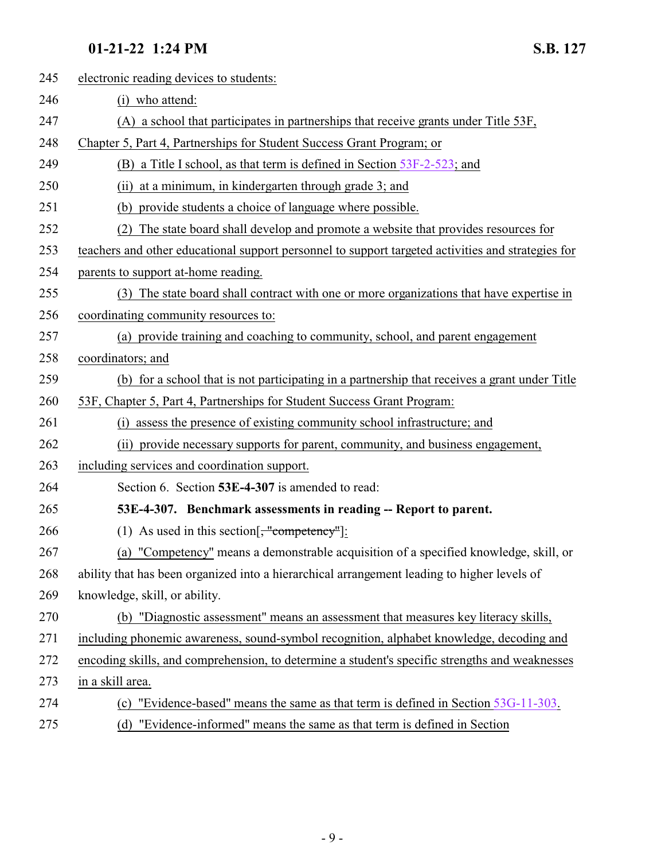<span id="page-8-0"></span>

| 245 | electronic reading devices to students:                                                            |
|-----|----------------------------------------------------------------------------------------------------|
| 246 | (i) who attend:                                                                                    |
| 247 | (A) a school that participates in partnerships that receive grants under Title 53F,                |
| 248 | Chapter 5, Part 4, Partnerships for Student Success Grant Program; or                              |
| 249 | (B) a Title I school, as that term is defined in Section $53F-2-523$ ; and                         |
| 250 | at a minimum, in kindergarten through grade 3; and<br>(ii)                                         |
| 251 | (b) provide students a choice of language where possible.                                          |
| 252 | The state board shall develop and promote a website that provides resources for                    |
| 253 | teachers and other educational support personnel to support targeted activities and strategies for |
| 254 | parents to support at-home reading.                                                                |
| 255 | (3) The state board shall contract with one or more organizations that have expertise in           |
| 256 | coordinating community resources to:                                                               |
| 257 | (a) provide training and coaching to community, school, and parent engagement                      |
| 258 | coordinators; and                                                                                  |
| 259 | (b) for a school that is not participating in a partnership that receives a grant under Title      |
| 260 | 53F, Chapter 5, Part 4, Partnerships for Student Success Grant Program:                            |
| 261 | assess the presence of existing community school infrastructure; and                               |
| 262 | (ii) provide necessary supports for parent, community, and business engagement,                    |
| 263 | including services and coordination support.                                                       |
| 264 | Section 6. Section 53E-4-307 is amended to read:                                                   |
| 265 | 53E-4-307. Benchmark assessments in reading -- Report to parent.                                   |
| 266 | (1) As used in this section[ $\frac{1}{2}$ "competency"]:                                          |
| 267 | (a) "Competency" means a demonstrable acquisition of a specified knowledge, skill, or              |
| 268 | ability that has been organized into a hierarchical arrangement leading to higher levels of        |
| 269 | knowledge, skill, or ability.                                                                      |
| 270 | (b) "Diagnostic assessment" means an assessment that measures key literacy skills,                 |
| 271 | including phonemic awareness, sound-symbol recognition, alphabet knowledge, decoding and           |
| 272 | encoding skills, and comprehension, to determine a student's specific strengths and weaknesses     |
| 273 | in a skill area.                                                                                   |
| 274 | "Evidence-based" means the same as that term is defined in Section 53G-11-303.<br>(c)              |
| 275 | "Evidence-informed" means the same as that term is defined in Section<br>(d)                       |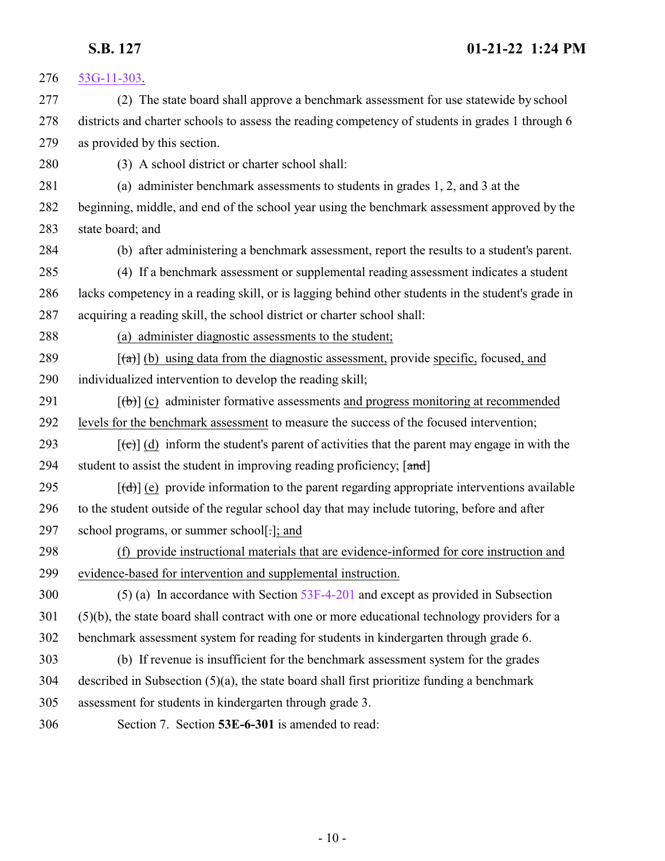<span id="page-9-0"></span>

| 276 | $53G-11-303$ .                                                                                            |
|-----|-----------------------------------------------------------------------------------------------------------|
| 277 | (2) The state board shall approve a benchmark assessment for use statewide by school                      |
| 278 | districts and charter schools to assess the reading competency of students in grades 1 through 6          |
| 279 | as provided by this section.                                                                              |
| 280 | (3) A school district or charter school shall:                                                            |
| 281 | (a) administer benchmark assessments to students in grades 1, 2, and 3 at the                             |
| 282 | beginning, middle, and end of the school year using the benchmark assessment approved by the              |
| 283 | state board; and                                                                                          |
| 284 | (b) after administering a benchmark assessment, report the results to a student's parent.                 |
| 285 | (4) If a benchmark assessment or supplemental reading assessment indicates a student                      |
| 286 | lacks competency in a reading skill, or is lagging behind other students in the student's grade in        |
| 287 | acquiring a reading skill, the school district or charter school shall:                                   |
| 288 | (a) administer diagnostic assessments to the student;                                                     |
| 289 | $\left[\frac{1}{2}\right]$ (b) using data from the diagnostic assessment, provide specific, focused, and  |
| 290 | individualized intervention to develop the reading skill;                                                 |
| 291 | $[\phi]$ (c) administer formative assessments and progress monitoring at recommended                      |
| 292 | levels for the benchmark assessment to measure the success of the focused intervention;                   |
| 293 | $[\text{e}^{-}]$ (d) inform the student's parent of activities that the parent may engage in with the     |
| 294 | student to assist the student in improving reading proficiency; [and]                                     |
| 295 | $[\text{(\text{d})}]$ (e) provide information to the parent regarding appropriate interventions available |
| 296 | to the student outside of the regular school day that may include tutoring, before and after              |
| 297 | school programs, or summer school[-]; and                                                                 |
| 298 | (f) provide instructional materials that are evidence-informed for core instruction and                   |
| 299 | evidence-based for intervention and supplemental instruction.                                             |
| 300 | $(5)$ (a) In accordance with Section 53F-4-201 and except as provided in Subsection                       |
| 301 | (5)(b), the state board shall contract with one or more educational technology providers for a            |
| 302 | benchmark assessment system for reading for students in kindergarten through grade 6.                     |
| 303 | (b) If revenue is insufficient for the benchmark assessment system for the grades                         |
| 304 | described in Subsection $(5)(a)$ , the state board shall first prioritize funding a benchmark             |
| 305 | assessment for students in kindergarten through grade 3.                                                  |
| 306 | Section 7. Section 53E-6-301 is amended to read:                                                          |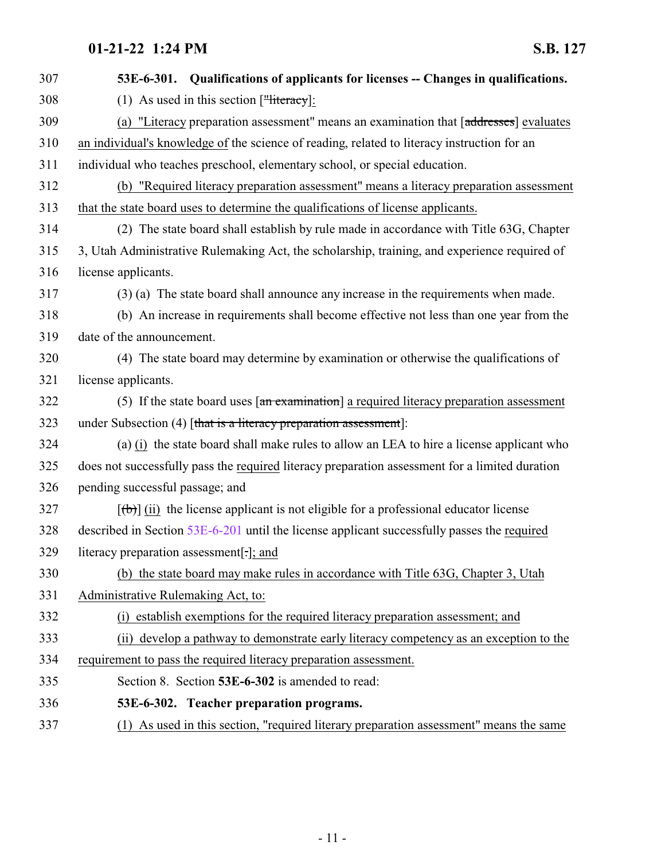<span id="page-10-0"></span>

| 307 | 53E-6-301. Qualifications of applicants for licenses -- Changes in qualifications.              |
|-----|-------------------------------------------------------------------------------------------------|
| 308 | (1) As used in this section $[\frac{1}{2} \text{ Heteracy}]$ :                                  |
| 309 | (a) "Literacy preparation assessment" means an examination that [addresses] evaluates           |
| 310 | an individual's knowledge of the science of reading, related to literacy instruction for an     |
| 311 | individual who teaches preschool, elementary school, or special education.                      |
| 312 | (b) "Required literacy preparation assessment" means a literacy preparation assessment          |
| 313 | that the state board uses to determine the qualifications of license applicants.                |
| 314 | (2) The state board shall establish by rule made in accordance with Title 63G, Chapter          |
| 315 | 3, Utah Administrative Rulemaking Act, the scholarship, training, and experience required of    |
| 316 | license applicants.                                                                             |
| 317 | (3) (a) The state board shall announce any increase in the requirements when made.              |
| 318 | (b) An increase in requirements shall become effective not less than one year from the          |
| 319 | date of the announcement.                                                                       |
| 320 | (4) The state board may determine by examination or otherwise the qualifications of             |
| 321 | license applicants.                                                                             |
| 322 | (5) If the state board uses $\lceil$ an examination] a required literacy preparation assessment |
| 323 | under Subsection (4) [that is a literacy preparation assessment]:                               |
| 324 | (a) (i) the state board shall make rules to allow an LEA to hire a license applicant who        |
| 325 | does not successfully pass the required literacy preparation assessment for a limited duration  |
| 326 | pending successful passage; and                                                                 |
| 327 | $[\phi]$ (ii) the license applicant is not eligible for a professional educator license         |
| 328 | described in Section 53E-6-201 until the license applicant successfully passes the required     |
| 329 | literacy preparation assessment                                                                 |
| 330 | (b) the state board may make rules in accordance with Title 63G, Chapter 3, Utah                |
| 331 | Administrative Rulemaking Act, to:                                                              |
| 332 | (i) establish exemptions for the required literacy preparation assessment; and                  |
| 333 | (ii) develop a pathway to demonstrate early literacy competency as an exception to the          |
| 334 | requirement to pass the required literacy preparation assessment.                               |
| 335 | Section 8. Section 53E-6-302 is amended to read:                                                |
| 336 | 53E-6-302. Teacher preparation programs.                                                        |
| 337 | (1) As used in this section, "required literary preparation assessment" means the same          |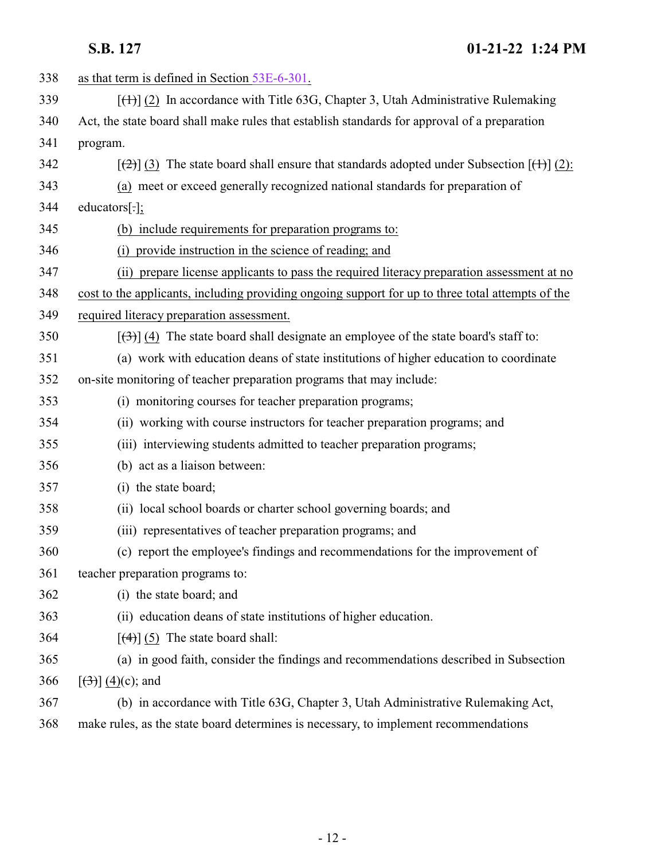| 338 | as that term is defined in Section 53E-6-301.                                                                 |
|-----|---------------------------------------------------------------------------------------------------------------|
| 339 | $[\text{(+)}]$ (2) In accordance with Title 63G, Chapter 3, Utah Administrative Rulemaking                    |
| 340 | Act, the state board shall make rules that establish standards for approval of a preparation                  |
| 341 | program.                                                                                                      |
| 342 | $[\frac{1}{2}]$ (3) The state board shall ensure that standards adopted under Subsection $[\frac{1}{2}]$ (2): |
| 343 | (a) meet or exceed generally recognized national standards for preparation of                                 |
| 344 | educators[.];                                                                                                 |
| 345 | (b) include requirements for preparation programs to:                                                         |
| 346 | (i) provide instruction in the science of reading; and                                                        |
| 347 | (ii) prepare license applicants to pass the required literacy preparation assessment at no                    |
| 348 | cost to the applicants, including providing ongoing support for up to three total attempts of the             |
| 349 | required literacy preparation assessment.                                                                     |
| 350 | $[\langle 3\rangle]$ (4) The state board shall designate an employee of the state board's staff to:           |
| 351 | (a) work with education deans of state institutions of higher education to coordinate                         |
| 352 | on-site monitoring of teacher preparation programs that may include:                                          |
| 353 | (i) monitoring courses for teacher preparation programs;                                                      |
| 354 | (ii) working with course instructors for teacher preparation programs; and                                    |
| 355 | (iii) interviewing students admitted to teacher preparation programs;                                         |
| 356 | (b) act as a liaison between:                                                                                 |
| 357 | (i) the state board;                                                                                          |
| 358 | (ii) local school boards or charter school governing boards; and                                              |
| 359 | (iii) representatives of teacher preparation programs; and                                                    |
| 360 | (c) report the employee's findings and recommendations for the improvement of                                 |
| 361 | teacher preparation programs to:                                                                              |
| 362 | (i) the state board; and                                                                                      |
| 363 | (ii) education deans of state institutions of higher education.                                               |
| 364 | $\lceil (4) \rceil$ (5) The state board shall:                                                                |
| 365 | (a) in good faith, consider the findings and recommendations described in Subsection                          |
| 366 | $[\left(3\right)] (4)(c)$ ; and                                                                               |
| 367 | (b) in accordance with Title 63G, Chapter 3, Utah Administrative Rulemaking Act,                              |
| 368 | make rules, as the state board determines is necessary, to implement recommendations                          |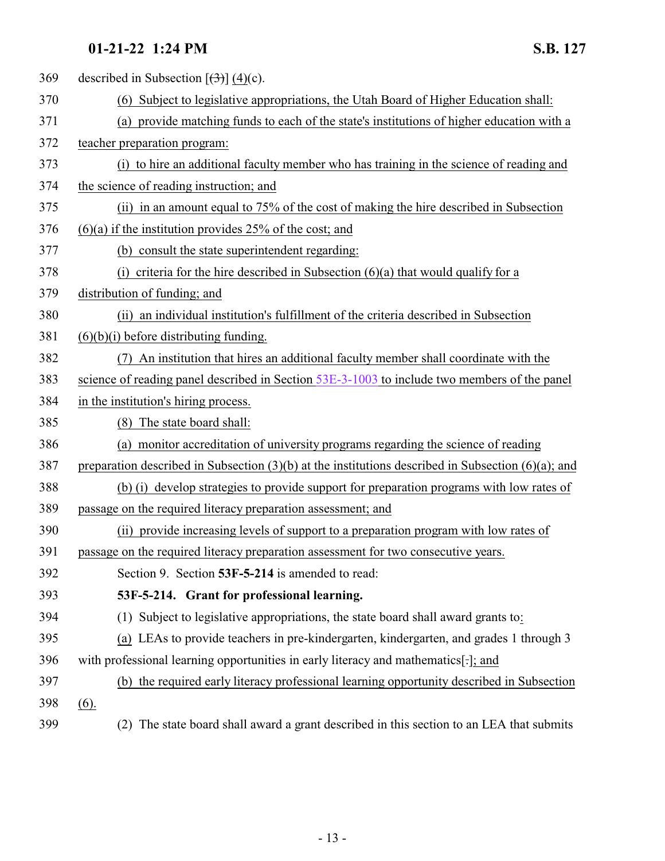<span id="page-12-0"></span>

| 369 | described in Subsection $[\left(\frac{1}{2}\right)] (4)(c)$ .                                           |
|-----|---------------------------------------------------------------------------------------------------------|
| 370 | (6) Subject to legislative appropriations, the Utah Board of Higher Education shall:                    |
| 371 | (a) provide matching funds to each of the state's institutions of higher education with a               |
| 372 | teacher preparation program:                                                                            |
| 373 | (i) to hire an additional faculty member who has training in the science of reading and                 |
| 374 | the science of reading instruction; and                                                                 |
| 375 | (ii) in an amount equal to 75% of the cost of making the hire described in Subsection                   |
| 376 | $(6)(a)$ if the institution provides 25% of the cost; and                                               |
| 377 | (b) consult the state superintendent regarding:                                                         |
| 378 | (i) criteria for the hire described in Subsection $(6)(a)$ that would qualify for a                     |
| 379 | distribution of funding; and                                                                            |
| 380 | (ii) an individual institution's fulfillment of the criteria described in Subsection                    |
| 381 | $(6)(b)(i)$ before distributing funding.                                                                |
| 382 | An institution that hires an additional faculty member shall coordinate with the                        |
| 383 | science of reading panel described in Section $53E-3-1003$ to include two members of the panel          |
| 384 | in the institution's hiring process.                                                                    |
| 385 | (8) The state board shall:                                                                              |
| 386 | (a) monitor accreditation of university programs regarding the science of reading                       |
| 387 | preparation described in Subsection $(3)(b)$ at the institutions described in Subsection $(6)(a)$ ; and |
| 388 | (b) (i) develop strategies to provide support for preparation programs with low rates of                |
| 389 | passage on the required literacy preparation assessment; and                                            |
| 390 | (ii) provide increasing levels of support to a preparation program with low rates of                    |
| 391 | passage on the required literacy preparation assessment for two consecutive years.                      |
| 392 | Section 9. Section 53F-5-214 is amended to read:                                                        |
| 393 | 53F-5-214. Grant for professional learning.                                                             |
| 394 | (1) Subject to legislative appropriations, the state board shall award grants to:                       |
| 395 | (a) LEAs to provide teachers in pre-kindergarten, kindergarten, and grades 1 through 3                  |
| 396 | with professional learning opportunities in early literacy and mathematics[-]; and                      |
| 397 | (b) the required early literacy professional learning opportunity described in Subsection               |
| 398 | (6).                                                                                                    |
| 399 | (2) The state board shall award a grant described in this section to an LEA that submits                |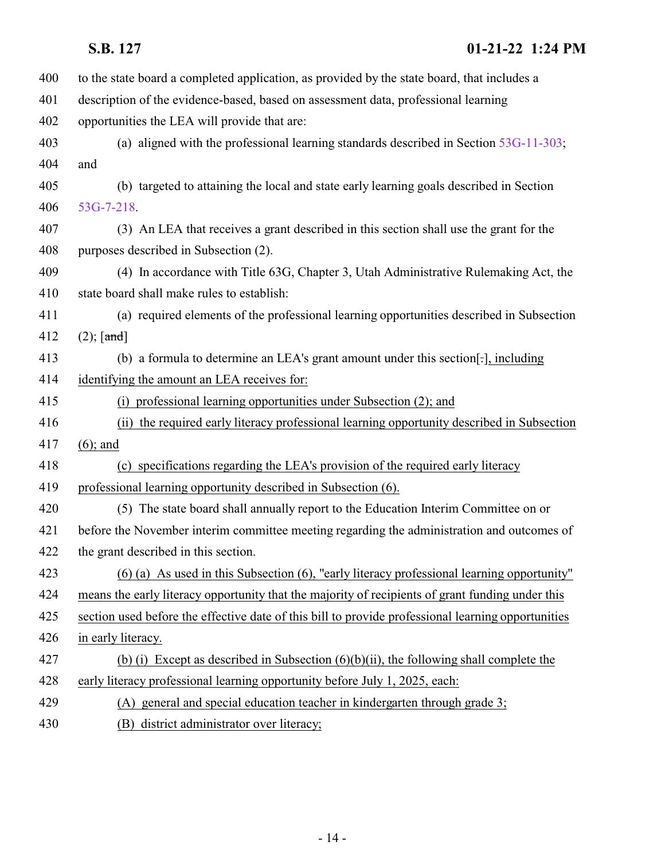| 400 | to the state board a completed application, as provided by the state board, that includes a        |
|-----|----------------------------------------------------------------------------------------------------|
| 401 | description of the evidence-based, based on assessment data, professional learning                 |
| 402 | opportunities the LEA will provide that are:                                                       |
| 403 | (a) aligned with the professional learning standards described in Section $53G-11-303$ ;           |
| 404 | and                                                                                                |
| 405 | (b) targeted to attaining the local and state early learning goals described in Section            |
| 406 | 53G-7-218.                                                                                         |
| 407 | (3) An LEA that receives a grant described in this section shall use the grant for the             |
| 408 | purposes described in Subsection (2).                                                              |
| 409 | (4) In accordance with Title 63G, Chapter 3, Utah Administrative Rulemaking Act, the               |
| 410 | state board shall make rules to establish:                                                         |
| 411 | (a) required elements of the professional learning opportunities described in Subsection           |
| 412 | $(2)$ ; [and]                                                                                      |
| 413 | (b) a formula to determine an LEA's grant amount under this section, including                     |
| 414 | identifying the amount an LEA receives for:                                                        |
| 415 | (i) professional learning opportunities under Subsection (2); and                                  |
| 416 | (ii) the required early literacy professional learning opportunity described in Subsection         |
| 417 | $(6)$ ; and                                                                                        |
| 418 | (c) specifications regarding the LEA's provision of the required early literacy                    |
| 419 | professional learning opportunity described in Subsection (6).                                     |
| 420 | (5) The state board shall annually report to the Education Interim Committee on or                 |
| 421 | before the November interim committee meeting regarding the administration and outcomes of         |
| 422 | the grant described in this section.                                                               |
| 423 | $(6)$ (a) As used in this Subsection (6), "early literacy professional learning opportunity"       |
| 424 | means the early literacy opportunity that the majority of recipients of grant funding under this   |
| 425 | section used before the effective date of this bill to provide professional learning opportunities |
| 426 | in early literacy.                                                                                 |
| 427 | (b) (i) Except as described in Subsection $(6)(b)(ii)$ , the following shall complete the          |
| 428 | early literacy professional learning opportunity before July 1, 2025, each:                        |
| 429 | (A) general and special education teacher in kindergarten through grade 3;                         |
| 430 | (B) district administrator over literacy;                                                          |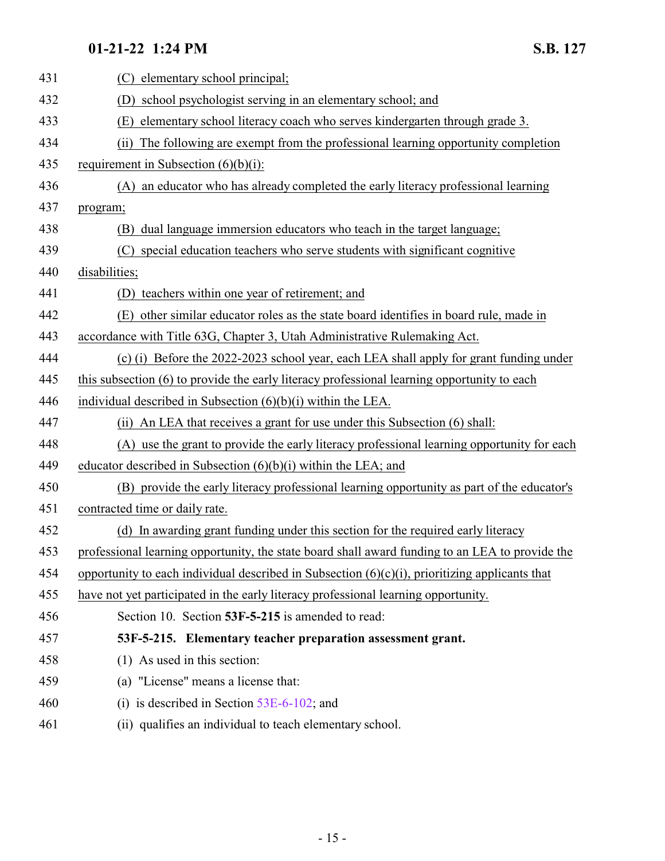<span id="page-14-0"></span>

| 431 | elementary school principal;<br>(C)                                                               |
|-----|---------------------------------------------------------------------------------------------------|
| 432 | school psychologist serving in an elementary school; and<br>(D)                                   |
| 433 | elementary school literacy coach who serves kindergarten through grade 3.<br>(E)                  |
| 434 | The following are exempt from the professional learning opportunity completion<br>(ii)            |
| 435 | requirement in Subsection $(6)(b)(i)$ :                                                           |
| 436 | an educator who has already completed the early literacy professional learning<br>(A)             |
| 437 | program;                                                                                          |
| 438 | dual language immersion educators who teach in the target language;<br>(B)                        |
| 439 | (C) special education teachers who serve students with significant cognitive                      |
| 440 | disabilities;                                                                                     |
| 441 | (D) teachers within one year of retirement; and                                                   |
| 442 | other similar educator roles as the state board identifies in board rule, made in<br>(E)          |
| 443 | accordance with Title 63G, Chapter 3, Utah Administrative Rulemaking Act.                         |
| 444 | (c) (i) Before the 2022-2023 school year, each LEA shall apply for grant funding under            |
| 445 | this subsection (6) to provide the early literacy professional learning opportunity to each       |
| 446 | individual described in Subsection $(6)(b)(i)$ within the LEA.                                    |
| 447 | An LEA that receives a grant for use under this Subsection (6) shall:<br>(ii)                     |
| 448 | (A) use the grant to provide the early literacy professional learning opportunity for each        |
| 449 | educator described in Subsection $(6)(b)(i)$ within the LEA; and                                  |
| 450 | (B) provide the early literacy professional learning opportunity as part of the educator's        |
| 451 | contracted time or daily rate.                                                                    |
| 452 | (d) In awarding grant funding under this section for the required early literacy                  |
| 453 | professional learning opportunity, the state board shall award funding to an LEA to provide the   |
| 454 | opportunity to each individual described in Subsection $(6)(c)(i)$ , prioritizing applicants that |
| 455 | have not yet participated in the early literacy professional learning opportunity.                |
| 456 | Section 10. Section 53F-5-215 is amended to read:                                                 |
| 457 | 53F-5-215. Elementary teacher preparation assessment grant.                                       |
| 458 | (1) As used in this section:                                                                      |
| 459 | (a) "License" means a license that:                                                               |
| 460 | (i) is described in Section $53E-6-102$ ; and                                                     |
| 461 | (ii) qualifies an individual to teach elementary school.                                          |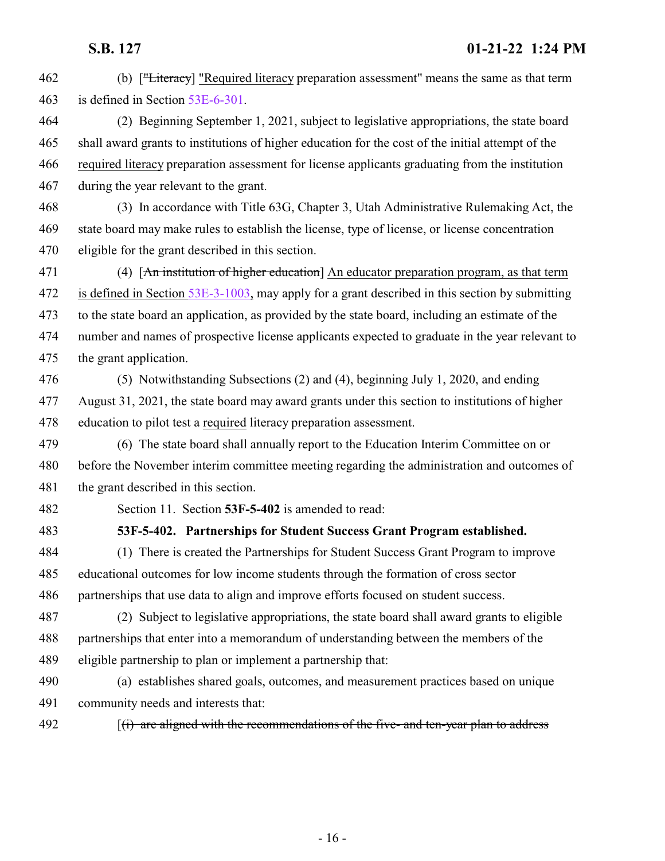<span id="page-15-0"></span> (b) ["Literacy] "Required literacy preparation assessment" means the same as that term is defined in Section [53E-6-301](#page-9-0). (2) Beginning September 1, 2021, subject to legislative appropriations, the state board shall award grants to institutions of higher education for the cost of the initial attempt of the required literacy preparation assessment for license applicants graduating from the institution during the year relevant to the grant. (3) In accordance with Title 63G, Chapter 3, Utah Administrative Rulemaking Act, the state board may make rules to establish the license, type of license, or license concentration eligible for the grant described in this section. 471 (4) [An institution of higher education] An educator preparation program, as that term is defined in Section [53E-3-1003](#page-6-0), may apply for a grant described in this section by submitting to the state board an application, as provided by the state board, including an estimate of the number and names of prospective license applicants expected to graduate in the year relevant to the grant application. (5) Notwithstanding Subsections (2) and (4), beginning July 1, 2020, and ending August 31, 2021, the state board may award grants under this section to institutions of higher education to pilot test a required literacy preparation assessment. (6) The state board shall annually report to the Education Interim Committee on or before the November interim committee meeting regarding the administration and outcomes of the grant described in this section. Section 11. Section **53F-5-402** is amended to read: **53F-5-402. Partnerships for Student Success Grant Program established.** (1) There is created the Partnerships for Student Success Grant Program to improve educational outcomes for low income students through the formation of cross sector partnerships that use data to align and improve efforts focused on student success. (2) Subject to legislative appropriations, the state board shall award grants to eligible partnerships that enter into a memorandum of understanding between the members of the eligible partnership to plan or implement a partnership that: (a) establishes shared goals, outcomes, and measurement practices based on unique community needs and interests that: 492 [(i) are aligned with the recommendations of the five- and ten-year plan to address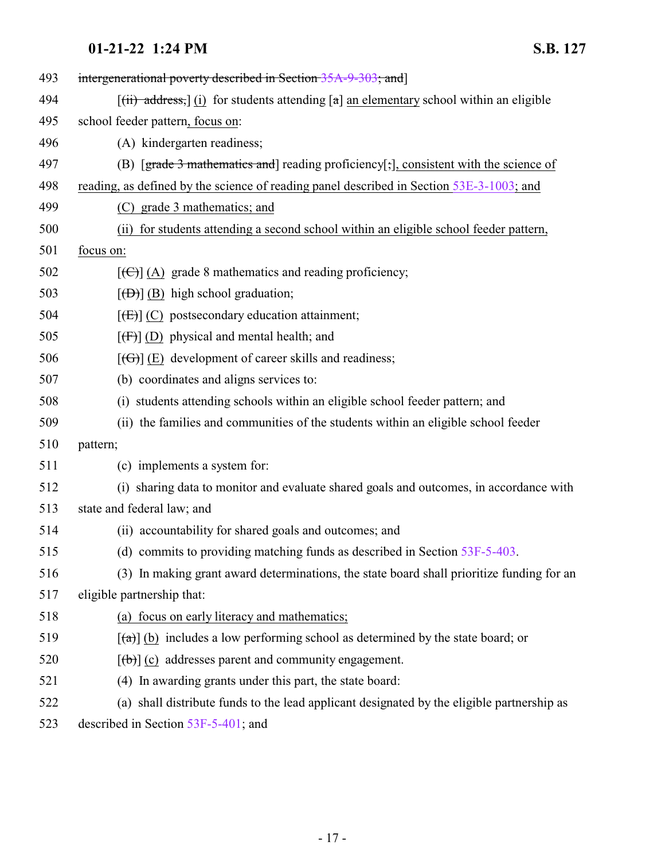| 493 | intergenerational poverty described in Section 35A-9-303; and                                          |
|-----|--------------------------------------------------------------------------------------------------------|
| 494 | $[(ii)$ address, $](i)$ for students attending $[a]$ an elementary school within an eligible           |
| 495 | school feeder pattern, focus on:                                                                       |
| 496 | (A) kindergarten readiness;                                                                            |
| 497 | (B) $[\text{grade } 3 \text{ mathematics and}]$ reading proficiency[;], consistent with the science of |
| 498 | reading, as defined by the science of reading panel described in Section 53E-3-1003; and               |
| 499 | (C) grade 3 mathematics; and                                                                           |
| 500 | (ii) for students attending a second school within an eligible school feeder pattern,                  |
| 501 | focus on:                                                                                              |
| 502 | $[\text{ }(\text{ }(\text{ }))]$ (A) grade 8 mathematics and reading proficiency;                      |
| 503 | $[\overline{(B)}]$ (B) high school graduation;                                                         |
| 504 | $[\text{fE}](C)$ postsecondary education attainment;                                                   |
| 505 | $[f(f)]$ (D) physical and mental health; and                                                           |
| 506 | $[\text{f}\Theta]$ (E) development of career skills and readiness;                                     |
| 507 | (b) coordinates and aligns services to:                                                                |
| 508 | (i) students attending schools within an eligible school feeder pattern; and                           |
| 509 | (ii) the families and communities of the students within an eligible school feeder                     |
| 510 | pattern;                                                                                               |
| 511 | (c) implements a system for:                                                                           |
| 512 | (i) sharing data to monitor and evaluate shared goals and outcomes, in accordance with                 |
| 513 | state and federal law; and                                                                             |
| 514 | (ii) accountability for shared goals and outcomes; and                                                 |
| 515 | (d) commits to providing matching funds as described in Section $53F-5-403$ .                          |
| 516 | (3) In making grant award determinations, the state board shall prioritize funding for an              |
| 517 | eligible partnership that:                                                                             |
| 518 | (a) focus on early literacy and mathematics;                                                           |
| 519 | $\lceil$ (a)] (b) includes a low performing school as determined by the state board; or                |
| 520 | $[\theta]$ (c) addresses parent and community engagement.                                              |
| 521 | (4) In awarding grants under this part, the state board:                                               |
| 522 | (a) shall distribute funds to the lead applicant designated by the eligible partnership as             |
| 502 | E2E E 401.                                                                                             |

523 described in Section [53F-5-401](http://le.utah.gov/UtahCode/SectionLookup.jsp?section=53f-5-401&session=2022GS); and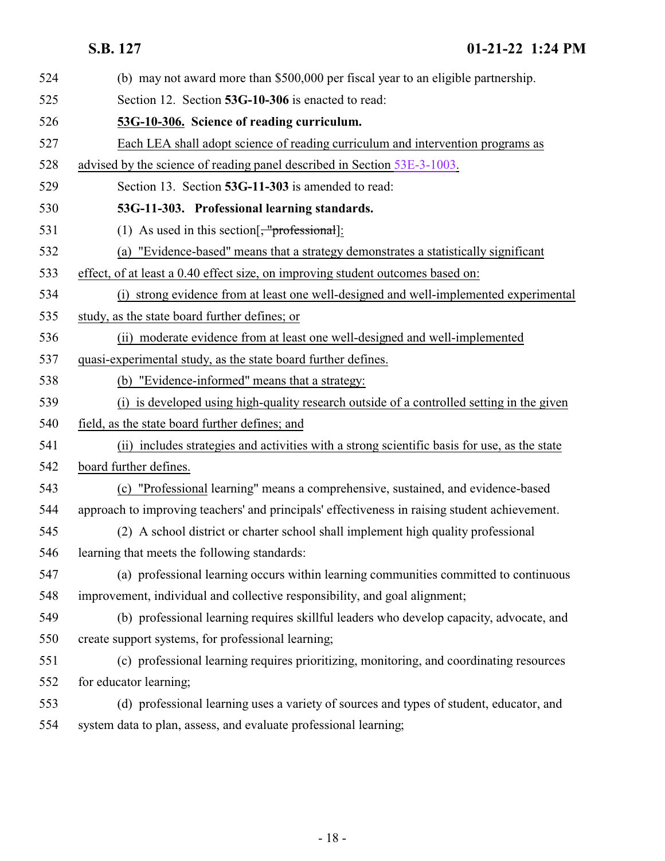<span id="page-17-1"></span><span id="page-17-0"></span>

| 524 | (b) may not award more than \$500,000 per fiscal year to an eligible partnership.             |
|-----|-----------------------------------------------------------------------------------------------|
| 525 | Section 12. Section 53G-10-306 is enacted to read:                                            |
| 526 | 53G-10-306. Science of reading curriculum.                                                    |
| 527 | Each LEA shall adopt science of reading curriculum and intervention programs as               |
| 528 | advised by the science of reading panel described in Section 53E-3-1003.                      |
| 529 | Section 13. Section 53G-11-303 is amended to read:                                            |
| 530 | 53G-11-303. Professional learning standards.                                                  |
| 531 | (1) As used in this section[ $\frac{1}{2}$ ].                                                 |
| 532 | (a) "Evidence-based" means that a strategy demonstrates a statistically significant           |
| 533 | effect, of at least a 0.40 effect size, on improving student outcomes based on:               |
| 534 | (i) strong evidence from at least one well-designed and well-implemented experimental         |
| 535 | study, as the state board further defines; or                                                 |
| 536 | (ii) moderate evidence from at least one well-designed and well-implemented                   |
| 537 | quasi-experimental study, as the state board further defines.                                 |
| 538 | (b) "Evidence-informed" means that a strategy:                                                |
| 539 | is developed using high-quality research outside of a controlled setting in the given<br>(i)  |
| 540 | field, as the state board further defines; and                                                |
| 541 | (ii) includes strategies and activities with a strong scientific basis for use, as the state  |
| 542 | board further defines.                                                                        |
| 543 | (c) "Professional learning" means a comprehensive, sustained, and evidence-based              |
| 544 | approach to improving teachers' and principals' effectiveness in raising student achievement. |
| 545 | (2) A school district or charter school shall implement high quality professional             |
| 546 | learning that meets the following standards:                                                  |
| 547 | (a) professional learning occurs within learning communities committed to continuous          |
| 548 | improvement, individual and collective responsibility, and goal alignment;                    |
| 549 | (b) professional learning requires skillful leaders who develop capacity, advocate, and       |
| 550 | create support systems, for professional learning;                                            |
| 551 | (c) professional learning requires prioritizing, monitoring, and coordinating resources       |
| 552 | for educator learning;                                                                        |
| 553 | (d) professional learning uses a variety of sources and types of student, educator, and       |
| 554 | system data to plan, assess, and evaluate professional learning;                              |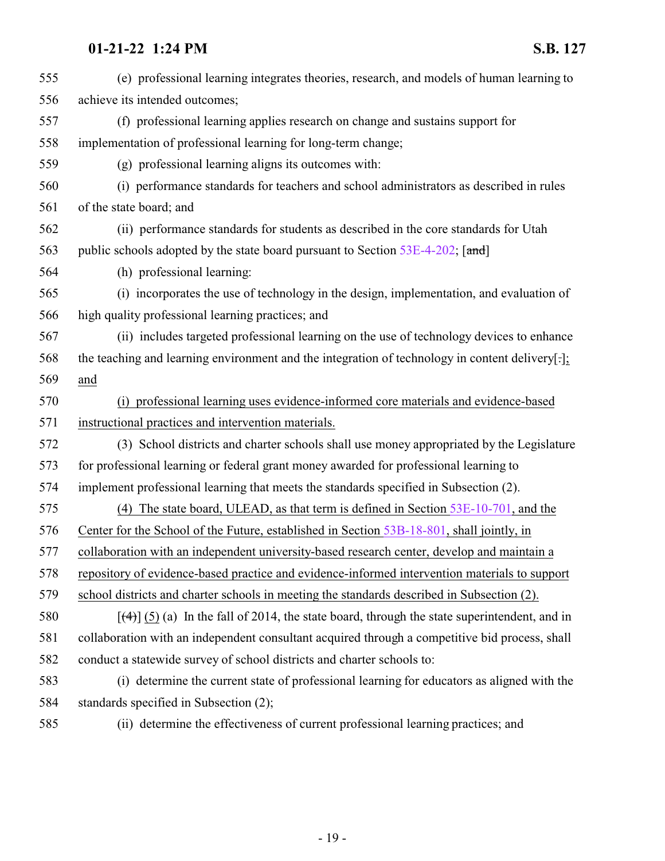| 555 | (e) professional learning integrates theories, research, and models of human learning to               |
|-----|--------------------------------------------------------------------------------------------------------|
| 556 | achieve its intended outcomes;                                                                         |
| 557 | (f) professional learning applies research on change and sustains support for                          |
| 558 | implementation of professional learning for long-term change;                                          |
| 559 | (g) professional learning aligns its outcomes with:                                                    |
| 560 | (i) performance standards for teachers and school administrators as described in rules                 |
| 561 | of the state board; and                                                                                |
| 562 | (ii) performance standards for students as described in the core standards for Utah                    |
| 563 | public schools adopted by the state board pursuant to Section 53E-4-202; [and]                         |
| 564 | (h) professional learning:                                                                             |
| 565 | (i) incorporates the use of technology in the design, implementation, and evaluation of                |
| 566 | high quality professional learning practices; and                                                      |
| 567 | (ii) includes targeted professional learning on the use of technology devices to enhance               |
| 568 | the teaching and learning environment and the integration of technology in content delivery.           |
| 569 | and                                                                                                    |
| 570 | (i) professional learning uses evidence-informed core materials and evidence-based                     |
| 571 | instructional practices and intervention materials.                                                    |
| 572 | (3) School districts and charter schools shall use money appropriated by the Legislature               |
| 573 | for professional learning or federal grant money awarded for professional learning to                  |
| 574 | implement professional learning that meets the standards specified in Subsection (2).                  |
| 575 | (4) The state board, ULEAD, as that term is defined in Section $53E-10-701$ , and the                  |
| 576 | Center for the School of the Future, established in Section 53B-18-801, shall jointly, in              |
| 577 | collaboration with an independent university-based research center, develop and maintain a             |
| 578 | repository of evidence-based practice and evidence-informed intervention materials to support          |
| 579 | school districts and charter schools in meeting the standards described in Subsection (2).             |
| 580 | $[\frac{4}{3}]$ (5) (a) In the fall of 2014, the state board, through the state superintendent, and in |
| 581 | collaboration with an independent consultant acquired through a competitive bid process, shall         |
| 582 | conduct a statewide survey of school districts and charter schools to:                                 |
| 583 | (i) determine the current state of professional learning for educators as aligned with the             |
| 584 | standards specified in Subsection (2);                                                                 |
|     |                                                                                                        |

(ii) determine the effectiveness of current professional learning practices; and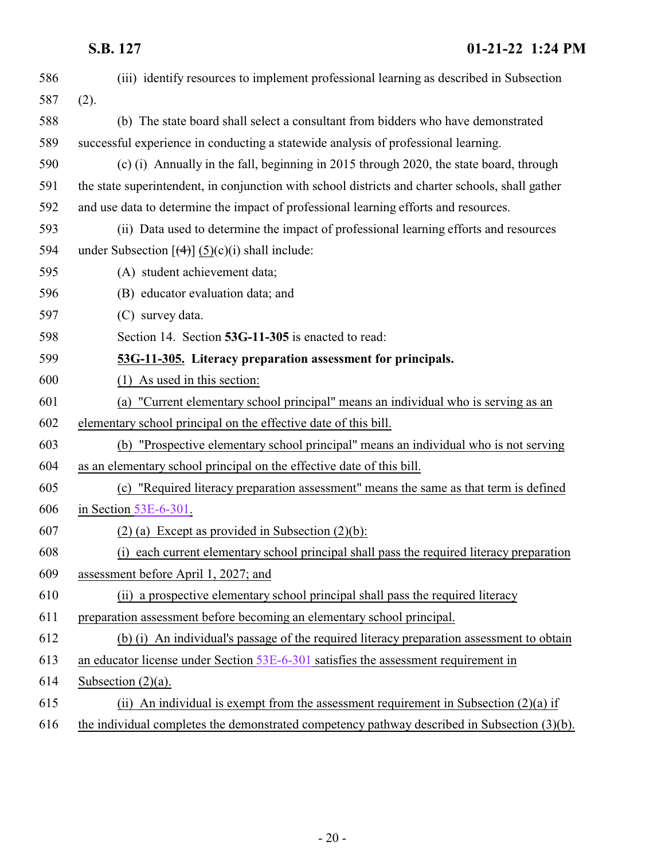<span id="page-19-0"></span>

| 586 | (iii) identify resources to implement professional learning as described in Subsection           |
|-----|--------------------------------------------------------------------------------------------------|
| 587 | (2).                                                                                             |
| 588 | (b) The state board shall select a consultant from bidders who have demonstrated                 |
| 589 | successful experience in conducting a statewide analysis of professional learning.               |
| 590 | (c) (i) Annually in the fall, beginning in 2015 through 2020, the state board, through           |
| 591 | the state superintendent, in conjunction with school districts and charter schools, shall gather |
| 592 | and use data to determine the impact of professional learning efforts and resources.             |
| 593 | (ii) Data used to determine the impact of professional learning efforts and resources            |
| 594 | under Subsection $[\left(4\right)] (5)(c)(i)$ shall include:                                     |
| 595 | (A) student achievement data;                                                                    |
| 596 | (B) educator evaluation data; and                                                                |
| 597 | (C) survey data.                                                                                 |
| 598 | Section 14. Section 53G-11-305 is enacted to read:                                               |
| 599 | 53G-11-305. Literacy preparation assessment for principals.                                      |
| 600 | $(1)$ As used in this section:                                                                   |
| 601 | (a) "Current elementary school principal" means an individual who is serving as an               |
| 602 | elementary school principal on the effective date of this bill.                                  |
| 603 | (b) "Prospective elementary school principal" means an individual who is not serving             |
| 604 | as an elementary school principal on the effective date of this bill.                            |
| 605 | (c) "Required literacy preparation assessment" means the same as that term is defined            |
| 606 | in Section $53E-6-301$ .                                                                         |
| 607 | $(2)$ (a) Except as provided in Subsection $(2)(b)$ :                                            |
| 608 | (i) each current elementary school principal shall pass the required literacy preparation        |
| 609 | assessment before April 1, 2027; and                                                             |
| 610 | (ii) a prospective elementary school principal shall pass the required literacy                  |
| 611 | preparation assessment before becoming an elementary school principal.                           |
| 612 | (b) (i) An individual's passage of the required literacy preparation assessment to obtain        |
| 613 | an educator license under Section 53E-6-301 satisfies the assessment requirement in              |
| 614 | Subsection $(2)(a)$ .                                                                            |
| 615 | (ii) An individual is exempt from the assessment requirement in Subsection $(2)(a)$ if           |
| 616 | the individual completes the demonstrated competency pathway described in Subsection (3)(b).     |